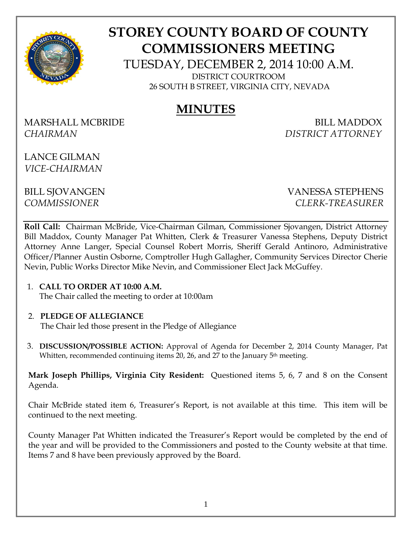

# **STOREY COUNTY BOARD OF COUNTY COMMISSIONERS MEETING**

TUESDAY, DECEMBER 2, 2014 10:00 A.M. DISTRICT COURTROOM

26 SOUTH B STREET, VIRGINIA CITY, NEVADA

# **MINUTES**

MARSHALL MCBRIDE BILL MADDOX *CHAIRMAN DISTRICT ATTORNEY* 

LANCE GILMAN *VICE-CHAIRMAN*

BILL SJOVANGEN VANESSA STEPHENS *COMMISSIONER CLERK-TREASURER* 

**Roll Call:** Chairman McBride, Vice-Chairman Gilman, Commissioner Sjovangen, District Attorney Bill Maddox, County Manager Pat Whitten, Clerk & Treasurer Vanessa Stephens, Deputy District Attorney Anne Langer, Special Counsel Robert Morris, Sheriff Gerald Antinoro, Administrative Officer/Planner Austin Osborne, Comptroller Hugh Gallagher, Community Services Director Cherie Nevin, Public Works Director Mike Nevin, and Commissioner Elect Jack McGuffey.

1. **CALL TO ORDER AT 10:00 A.M.**  The Chair called the meeting to order at 10:00am

#### 2. **PLEDGE OF ALLEGIANCE**

The Chair led those present in the Pledge of Allegiance

3. **DISCUSSION/POSSIBLE ACTION:** Approval of Agenda for December 2, 2014 County Manager, Pat Whitten, recommended continuing items 20, 26, and 27 to the January 5<sup>th</sup> meeting.

**Mark Joseph Phillips, Virginia City Resident:** Questioned items 5, 6, 7 and 8 on the Consent Agenda.

Chair McBride stated item 6, Treasurer's Report, is not available at this time. This item will be continued to the next meeting.

County Manager Pat Whitten indicated the Treasurer's Report would be completed by the end of the year and will be provided to the Commissioners and posted to the County website at that time. Items 7 and 8 have been previously approved by the Board.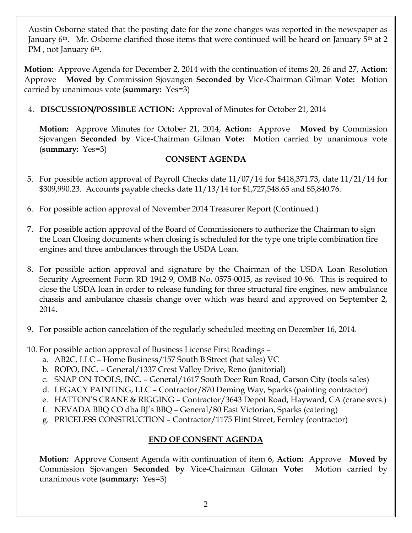Austin Osborne stated that the posting date for the zone changes was reported in the newspaper as January 6<sup>th</sup>. Mr. Osborne clarified those items that were continued will be heard on January 5<sup>th</sup> at 2 PM, not January 6<sup>th</sup>.

**Motion:** Approve Agenda for December 2, 2014 with the continuation of items 20, 26 and 27, **Action:** Approve **Moved by** Commission Sjovangen **Seconded by** Vice-Chairman Gilman **Vote:** Motion carried by unanimous vote (**summary:** Yes=3)

4. **DISCUSSION/POSSIBLE ACTION:** Approval of Minutes for October 21, 2014

**Motion:** Approve Minutes for October 21, 2014, **Action:** Approve **Moved by** Commission Sjovangen **Seconded by** Vice-Chairman Gilman **Vote:** Motion carried by unanimous vote (**summary:** Yes=3)

### **CONSENT AGENDA**

- 5. For possible action approval of Payroll Checks date 11/07/14 for \$418,371.73, date 11/21/14 for \$309,990.23. Accounts payable checks date 11/13/14 for \$1,727,548.65 and \$5,840.76.
- 6. For possible action approval of November 2014 Treasurer Report (Continued.)
- 7. For possible action approval of the Board of Commissioners to authorize the Chairman to sign the Loan Closing documents when closing is scheduled for the type one triple combination fire engines and three ambulances through the USDA Loan.
- 8. For possible action approval and signature by the Chairman of the USDA Loan Resolution Security Agreement Form RD 1942-9, OMB No. 0575-0015, as revised 10-96. This is required to close the USDA loan in order to release funding for three structural fire engines, new ambulance chassis and ambulance chassis change over which was heard and approved on September 2, 2014.
- 9. For possible action cancelation of the regularly scheduled meeting on December 16, 2014.
- 10. For possible action approval of Business License First Readings
	- a. AB2C, LLC Home Business/157 South B Street (hat sales) VC
	- b. ROPO, INC. General/1337 Crest Valley Drive, Reno (janitorial)
	- c. SNAP ON TOOLS, INC. General/1617 South Deer Run Road, Carson City (tools sales)
	- d. LEGACY PAINTING, LLC Contractor/870 Deming Way, Sparks (painting contractor)
	- e. HATTON'S CRANE & RIGGING Contractor/3643 Depot Road, Hayward, CA (crane svcs.)
	- f. NEVADA BBQ CO dba BJ's BBQ General/80 East Victorian, Sparks (catering)
	- g. PRICELESS CONSTRUCTION Contractor/1175 Flint Street, Fernley (contractor)

# **END OF CONSENT AGENDA**

**Motion:** Approve Consent Agenda with continuation of item 6, **Action:** Approve **Moved by** Commission Sjovangen **Seconded by** Vice-Chairman Gilman **Vote:** Motion carried by unanimous vote (**summary:** Yes=3)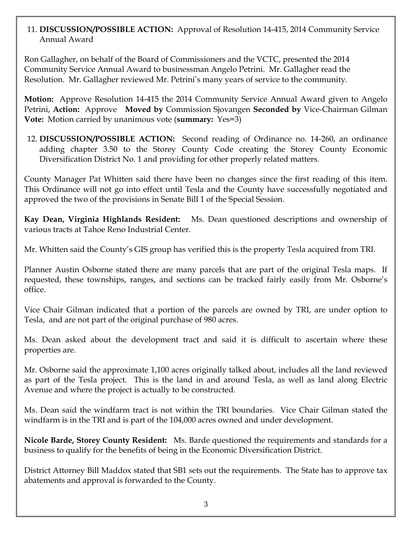#### 11. **DISCUSSION/POSSIBLE ACTION:** Approval of Resolution 14-415, 2014 Community Service Annual Award

Ron Gallagher, on behalf of the Board of Commissioners and the VCTC, presented the 2014 Community Service Annual Award to businessman Angelo Petrini. Mr. Gallagher read the Resolution. Mr. Gallagher reviewed Mr. Petrini's many years of service to the community.

**Motion:** Approve Resolution 14-415 the 2014 Community Service Annual Award given to Angelo Petrini, **Action:** Approve **Moved by** Commission Sjovangen **Seconded by** Vice-Chairman Gilman **Vote:** Motion carried by unanimous vote (**summary:** Yes=3)

12. **DISCUSSION/POSSIBLE ACTION:** Second reading of Ordinance no. 14-260, an ordinance adding chapter 3.50 to the Storey County Code creating the Storey County Economic Diversification District No. 1 and providing for other properly related matters.

County Manager Pat Whitten said there have been no changes since the first reading of this item. This Ordinance will not go into effect until Tesla and the County have successfully negotiated and approved the two of the provisions in Senate Bill 1 of the Special Session.

**Kay Dean, Virginia Highlands Resident:** Ms. Dean questioned descriptions and ownership of various tracts at Tahoe Reno Industrial Center.

Mr. Whitten said the County's GIS group has verified this is the property Tesla acquired from TRI.

Planner Austin Osborne stated there are many parcels that are part of the original Tesla maps. If requested, these townships, ranges, and sections can be tracked fairly easily from Mr. Osborne's office.

Vice Chair Gilman indicated that a portion of the parcels are owned by TRI, are under option to Tesla, and are not part of the original purchase of 980 acres.

Ms. Dean asked about the development tract and said it is difficult to ascertain where these properties are.

Mr. Osborne said the approximate 1,100 acres originally talked about, includes all the land reviewed as part of the Tesla project. This is the land in and around Tesla, as well as land along Electric Avenue and where the project is actually to be constructed.

Ms. Dean said the windfarm tract is not within the TRI boundaries. Vice Chair Gilman stated the windfarm is in the TRI and is part of the 104,000 acres owned and under development.

**Nicole Barde, Storey County Resident:** Ms. Barde questioned the requirements and standards for a business to qualify for the benefits of being in the Economic Diversification District.

District Attorney Bill Maddox stated that SB1 sets out the requirements. The State has to approve tax abatements and approval is forwarded to the County.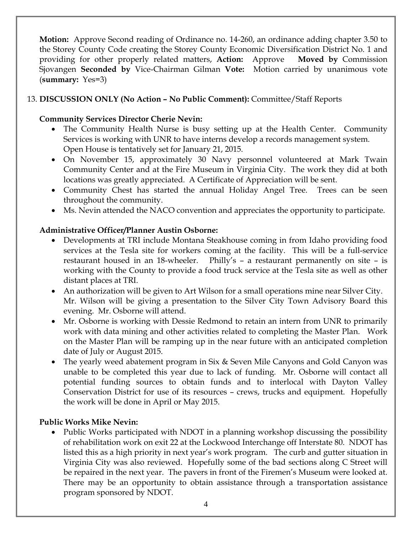**Motion:** Approve Second reading of Ordinance no. 14-260, an ordinance adding chapter 3.50 to the Storey County Code creating the Storey County Economic Diversification District No. 1 and providing for other properly related matters, **Action:** Approve **Moved by** Commission Sjovangen **Seconded by** Vice-Chairman Gilman **Vote:** Motion carried by unanimous vote (**summary:** Yes=3)

## 13. **DISCUSSION ONLY (No Action – No Public Comment):** Committee/Staff Reports

#### **Community Services Director Cherie Nevin:**

- The Community Health Nurse is busy setting up at the Health Center. Community Services is working with UNR to have interns develop a records management system. Open House is tentatively set for January 21, 2015.
- On November 15, approximately 30 Navy personnel volunteered at Mark Twain Community Center and at the Fire Museum in Virginia City. The work they did at both locations was greatly appreciated. A Certificate of Appreciation will be sent.
- Community Chest has started the annual Holiday Angel Tree. Trees can be seen throughout the community.
- Ms. Nevin attended the NACO convention and appreciates the opportunity to participate.

### **Administrative Officer/Planner Austin Osborne:**

- Developments at TRI include Montana Steakhouse coming in from Idaho providing food services at the Tesla site for workers coming at the facility. This will be a full-service restaurant housed in an 18-wheeler. Philly's – a restaurant permanently on site – is working with the County to provide a food truck service at the Tesla site as well as other distant places at TRI.
- An authorization will be given to Art Wilson for a small operations mine near Silver City. Mr. Wilson will be giving a presentation to the Silver City Town Advisory Board this evening. Mr. Osborne will attend.
- Mr. Osborne is working with Dessie Redmond to retain an intern from UNR to primarily work with data mining and other activities related to completing the Master Plan. Work on the Master Plan will be ramping up in the near future with an anticipated completion date of July or August 2015.
- The yearly weed abatement program in Six & Seven Mile Canyons and Gold Canyon was unable to be completed this year due to lack of funding. Mr. Osborne will contact all potential funding sources to obtain funds and to interlocal with Dayton Valley Conservation District for use of its resources – crews, trucks and equipment. Hopefully the work will be done in April or May 2015.

#### **Public Works Mike Nevin:**

• Public Works participated with NDOT in a planning workshop discussing the possibility of rehabilitation work on exit 22 at the Lockwood Interchange off Interstate 80. NDOT has listed this as a high priority in next year's work program. The curb and gutter situation in Virginia City was also reviewed. Hopefully some of the bad sections along C Street will be repaired in the next year. The pavers in front of the Firemen's Museum were looked at. There may be an opportunity to obtain assistance through a transportation assistance program sponsored by NDOT.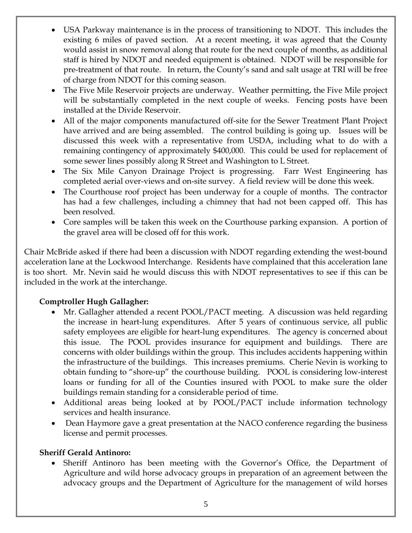- USA Parkway maintenance is in the process of transitioning to NDOT. This includes the existing 6 miles of paved section. At a recent meeting, it was agreed that the County would assist in snow removal along that route for the next couple of months, as additional staff is hired by NDOT and needed equipment is obtained. NDOT will be responsible for pre-treatment of that route. In return, the County's sand and salt usage at TRI will be free of charge from NDOT for this coming season.
- The Five Mile Reservoir projects are underway. Weather permitting, the Five Mile project will be substantially completed in the next couple of weeks. Fencing posts have been installed at the Divide Reservoir.
- All of the major components manufactured off-site for the Sewer Treatment Plant Project have arrived and are being assembled. The control building is going up. Issues will be discussed this week with a representative from USDA, including what to do with a remaining contingency of approximately \$400,000. This could be used for replacement of some sewer lines possibly along R Street and Washington to L Street.
- The Six Mile Canyon Drainage Project is progressing. Farr West Engineering has completed aerial over-views and on-site survey. A field review will be done this week.
- The Courthouse roof project has been underway for a couple of months. The contractor has had a few challenges, including a chimney that had not been capped off. This has been resolved.
- Core samples will be taken this week on the Courthouse parking expansion. A portion of the gravel area will be closed off for this work.

Chair McBride asked if there had been a discussion with NDOT regarding extending the west-bound acceleration lane at the Lockwood Interchange. Residents have complained that this acceleration lane is too short. Mr. Nevin said he would discuss this with NDOT representatives to see if this can be included in the work at the interchange.

# **Comptroller Hugh Gallagher:**

- Mr. Gallagher attended a recent POOL/PACT meeting. A discussion was held regarding the increase in heart-lung expenditures. After 5 years of continuous service, all public safety employees are eligible for heart-lung expenditures. The agency is concerned about this issue. The POOL provides insurance for equipment and buildings. There are concerns with older buildings within the group. This includes accidents happening within the infrastructure of the buildings. This increases premiums. Cherie Nevin is working to obtain funding to "shore-up" the courthouse building. POOL is considering low-interest loans or funding for all of the Counties insured with POOL to make sure the older buildings remain standing for a considerable period of time.
- Additional areas being looked at by POOL/PACT include information technology services and health insurance.
- Dean Haymore gave a great presentation at the NACO conference regarding the business license and permit processes.

# **Sheriff Gerald Antinoro:**

 Sheriff Antinoro has been meeting with the Governor's Office, the Department of Agriculture and wild horse advocacy groups in preparation of an agreement between the advocacy groups and the Department of Agriculture for the management of wild horses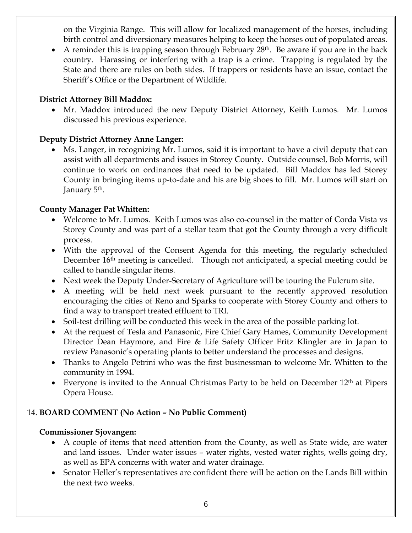on the Virginia Range. This will allow for localized management of the horses, including birth control and diversionary measures helping to keep the horses out of populated areas.

A reminder this is trapping season through February  $28<sup>th</sup>$ . Be aware if you are in the back country. Harassing or interfering with a trap is a crime. Trapping is regulated by the State and there are rules on both sides. If trappers or residents have an issue, contact the Sheriff's Office or the Department of Wildlife.

#### **District Attorney Bill Maddox:**

• Mr. Maddox introduced the new Deputy District Attorney, Keith Lumos. Mr. Lumos discussed his previous experience.

# **Deputy District Attorney Anne Langer:**

 Ms. Langer, in recognizing Mr. Lumos, said it is important to have a civil deputy that can assist with all departments and issues in Storey County. Outside counsel, Bob Morris, will continue to work on ordinances that need to be updated. Bill Maddox has led Storey County in bringing items up-to-date and his are big shoes to fill. Mr. Lumos will start on January 5<sup>th</sup>.

# **County Manager Pat Whitten:**

- Welcome to Mr. Lumos. Keith Lumos was also co-counsel in the matter of Corda Vista vs Storey County and was part of a stellar team that got the County through a very difficult process.
- With the approval of the Consent Agenda for this meeting, the regularly scheduled December 16<sup>th</sup> meeting is cancelled. Though not anticipated, a special meeting could be called to handle singular items.
- Next week the Deputy Under-Secretary of Agriculture will be touring the Fulcrum site.
- A meeting will be held next week pursuant to the recently approved resolution encouraging the cities of Reno and Sparks to cooperate with Storey County and others to find a way to transport treated effluent to TRI.
- Soil-test drilling will be conducted this week in the area of the possible parking lot.
- At the request of Tesla and Panasonic, Fire Chief Gary Hames, Community Development Director Dean Haymore, and Fire & Life Safety Officer Fritz Klingler are in Japan to review Panasonic's operating plants to better understand the processes and designs.
- Thanks to Angelo Petrini who was the first businessman to welcome Mr. Whitten to the community in 1994.
- Everyone is invited to the Annual Christmas Party to be held on December 12th at Pipers Opera House.

# 14. **BOARD COMMENT (No Action – No Public Comment)**

# **Commissioner Sjovangen:**

- A couple of items that need attention from the County, as well as State wide, are water and land issues. Under water issues – water rights, vested water rights, wells going dry, as well as EPA concerns with water and water drainage.
- Senator Heller's representatives are confident there will be action on the Lands Bill within the next two weeks.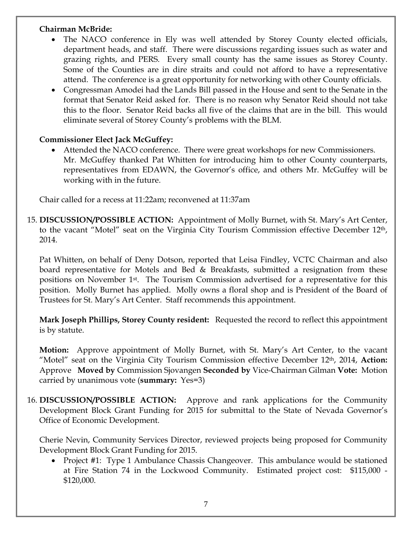#### **Chairman McBride:**

- The NACO conference in Ely was well attended by Storey County elected officials, department heads, and staff. There were discussions regarding issues such as water and grazing rights, and PERS. Every small county has the same issues as Storey County. Some of the Counties are in dire straits and could not afford to have a representative attend. The conference is a great opportunity for networking with other County officials.
- Congressman Amodei had the Lands Bill passed in the House and sent to the Senate in the format that Senator Reid asked for. There is no reason why Senator Reid should not take this to the floor. Senator Reid backs all five of the claims that are in the bill. This would eliminate several of Storey County's problems with the BLM.

### **Commissioner Elect Jack McGuffey:**

 Attended the NACO conference. There were great workshops for new Commissioners. Mr. McGuffey thanked Pat Whitten for introducing him to other County counterparts, representatives from EDAWN, the Governor's office, and others Mr. McGuffey will be working with in the future.

Chair called for a recess at 11:22am; reconvened at 11:37am

15. **DISCUSSION/POSSIBLE ACTION:** Appointment of Molly Burnet, with St. Mary's Art Center, to the vacant "Motel" seat on the Virginia City Tourism Commission effective December 12th, 2014.

Pat Whitten, on behalf of Deny Dotson, reported that Leisa Findley, VCTC Chairman and also board representative for Motels and Bed & Breakfasts, submitted a resignation from these positions on November 1st. The Tourism Commission advertised for a representative for this position. Molly Burnet has applied. Molly owns a floral shop and is President of the Board of Trustees for St. Mary's Art Center. Staff recommends this appointment.

**Mark Joseph Phillips, Storey County resident:** Requested the record to reflect this appointment is by statute.

**Motion:** Approve appointment of Molly Burnet, with St. Mary's Art Center, to the vacant "Motel" seat on the Virginia City Tourism Commission effective December 12th, 2014, **Action:** Approve **Moved by** Commission Sjovangen **Seconded by** Vice-Chairman Gilman **Vote:** Motion carried by unanimous vote (**summary:** Yes=3)

16. **DISCUSSION/POSSIBLE ACTION:** Approve and rank applications for the Community Development Block Grant Funding for 2015 for submittal to the State of Nevada Governor's Office of Economic Development.

Cherie Nevin, Community Services Director, reviewed projects being proposed for Community Development Block Grant Funding for 2015.

• Project #1: Type 1 Ambulance Chassis Changeover. This ambulance would be stationed at Fire Station 74 in the Lockwood Community. Estimated project cost: \$115,000 - \$120,000.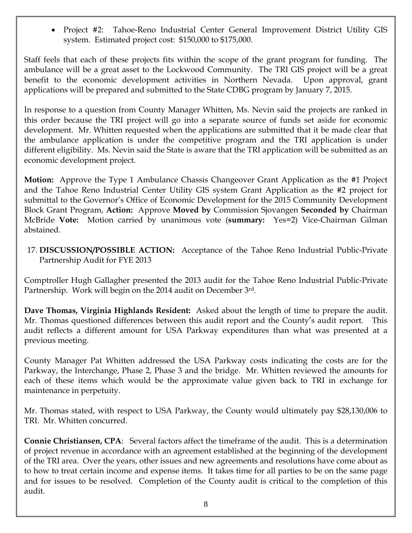• Project #2: Tahoe-Reno Industrial Center General Improvement District Utility GIS system. Estimated project cost: \$150,000 to \$175,000.

Staff feels that each of these projects fits within the scope of the grant program for funding. The ambulance will be a great asset to the Lockwood Community. The TRI GIS project will be a great benefit to the economic development activities in Northern Nevada. Upon approval, grant applications will be prepared and submitted to the State CDBG program by January 7, 2015.

In response to a question from County Manager Whitten, Ms. Nevin said the projects are ranked in this order because the TRI project will go into a separate source of funds set aside for economic development. Mr. Whitten requested when the applications are submitted that it be made clear that the ambulance application is under the competitive program and the TRI application is under different eligibility. Ms. Nevin said the State is aware that the TRI application will be submitted as an economic development project.

**Motion:** Approve the Type 1 Ambulance Chassis Changeover Grant Application as the #1 Project and the Tahoe Reno Industrial Center Utility GIS system Grant Application as the #2 project for submittal to the Governor's Office of Economic Development for the 2015 Community Development Block Grant Program, **Action:** Approve **Moved by** Commission Sjovangen **Seconded by** Chairman McBride **Vote:** Motion carried by unanimous vote (**summary:** Yes=2) Vice-Chairman Gilman abstained.

17. **DISCUSSION/POSSIBLE ACTION:** Acceptance of the Tahoe Reno Industrial Public-Private Partnership Audit for FYE 2013

Comptroller Hugh Gallagher presented the 2013 audit for the Tahoe Reno Industrial Public-Private Partnership. Work will begin on the 2014 audit on December 3rd.

**Dave Thomas, Virginia Highlands Resident:** Asked about the length of time to prepare the audit. Mr. Thomas questioned differences between this audit report and the County's audit report. This audit reflects a different amount for USA Parkway expenditures than what was presented at a previous meeting.

County Manager Pat Whitten addressed the USA Parkway costs indicating the costs are for the Parkway, the Interchange, Phase 2, Phase 3 and the bridge. Mr. Whitten reviewed the amounts for each of these items which would be the approximate value given back to TRI in exchange for maintenance in perpetuity.

Mr. Thomas stated, with respect to USA Parkway, the County would ultimately pay \$28,130,006 to TRI. Mr. Whitten concurred.

**Connie Christiansen, CPA**: Several factors affect the timeframe of the audit. This is a determination of project revenue in accordance with an agreement established at the beginning of the development of the TRI area. Over the years, other issues and new agreements and resolutions have come about as to how to treat certain income and expense items. It takes time for all parties to be on the same page and for issues to be resolved. Completion of the County audit is critical to the completion of this audit.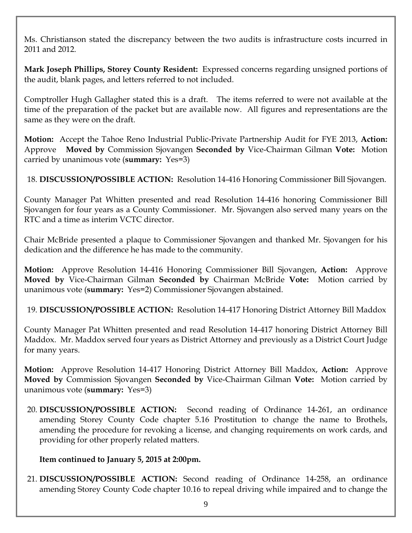Ms. Christianson stated the discrepancy between the two audits is infrastructure costs incurred in 2011 and 2012.

**Mark Joseph Phillips, Storey County Resident:** Expressed concerns regarding unsigned portions of the audit, blank pages, and letters referred to not included.

Comptroller Hugh Gallagher stated this is a draft. The items referred to were not available at the time of the preparation of the packet but are available now. All figures and representations are the same as they were on the draft.

**Motion:** Accept the Tahoe Reno Industrial Public-Private Partnership Audit for FYE 2013, **Action:** Approve **Moved by** Commission Sjovangen **Seconded by** Vice-Chairman Gilman **Vote:** Motion carried by unanimous vote (**summary:** Yes=3)

18. **DISCUSSION/POSSIBLE ACTION:** Resolution 14-416 Honoring Commissioner Bill Sjovangen.

County Manager Pat Whitten presented and read Resolution 14-416 honoring Commissioner Bill Sjovangen for four years as a County Commissioner. Mr. Sjovangen also served many years on the RTC and a time as interim VCTC director.

Chair McBride presented a plaque to Commissioner Sjovangen and thanked Mr. Sjovangen for his dedication and the difference he has made to the community.

**Motion:** Approve Resolution 14-416 Honoring Commissioner Bill Sjovangen, **Action:** Approve **Moved by** Vice-Chairman Gilman **Seconded by** Chairman McBride **Vote:** Motion carried by unanimous vote (**summary:** Yes=2) Commissioner Sjovangen abstained.

19. **DISCUSSION/POSSIBLE ACTION:** Resolution 14-417 Honoring District Attorney Bill Maddox

County Manager Pat Whitten presented and read Resolution 14-417 honoring District Attorney Bill Maddox. Mr. Maddox served four years as District Attorney and previously as a District Court Judge for many years.

**Motion:** Approve Resolution 14-417 Honoring District Attorney Bill Maddox, **Action:** Approve **Moved by** Commission Sjovangen **Seconded by** Vice-Chairman Gilman **Vote:** Motion carried by unanimous vote (**summary:** Yes=3)

20. **DISCUSSION/POSSIBLE ACTION:** Second reading of Ordinance 14-261, an ordinance amending Storey County Code chapter 5.16 Prostitution to change the name to Brothels, amending the procedure for revoking a license, and changing requirements on work cards, and providing for other properly related matters.

#### **Item continued to January 5, 2015 at 2:00pm.**

21. **DISCUSSION/POSSIBLE ACTION:** Second reading of Ordinance 14-258, an ordinance amending Storey County Code chapter 10.16 to repeal driving while impaired and to change the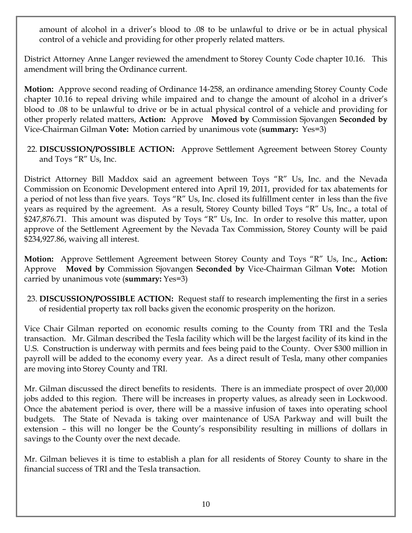amount of alcohol in a driver's blood to .08 to be unlawful to drive or be in actual physical control of a vehicle and providing for other properly related matters.

District Attorney Anne Langer reviewed the amendment to Storey County Code chapter 10.16. This amendment will bring the Ordinance current.

**Motion:** Approve second reading of Ordinance 14-258, an ordinance amending Storey County Code chapter 10.16 to repeal driving while impaired and to change the amount of alcohol in a driver's blood to .08 to be unlawful to drive or be in actual physical control of a vehicle and providing for other properly related matters, **Action:** Approve **Moved by** Commission Sjovangen **Seconded by** Vice-Chairman Gilman **Vote:** Motion carried by unanimous vote (**summary:** Yes=3)

22. **DISCUSSION/POSSIBLE ACTION:** Approve Settlement Agreement between Storey County and Toys "R" Us, Inc.

District Attorney Bill Maddox said an agreement between Toys "R" Us, Inc. and the Nevada Commission on Economic Development entered into April 19, 2011, provided for tax abatements for a period of not less than five years. Toys "R" Us, Inc. closed its fulfillment center in less than the five years as required by the agreement. As a result, Storey County billed Toys "R" Us, Inc., a total of \$247,876.71. This amount was disputed by Toys "R" Us, Inc. In order to resolve this matter, upon approve of the Settlement Agreement by the Nevada Tax Commission, Storey County will be paid \$234,927.86, waiving all interest.

**Motion:** Approve Settlement Agreement between Storey County and Toys "R" Us, Inc., **Action:** Approve **Moved by** Commission Sjovangen **Seconded by** Vice-Chairman Gilman **Vote:** Motion carried by unanimous vote (**summary:** Yes=3)

23. **DISCUSSION/POSSIBLE ACTION:** Request staff to research implementing the first in a series of residential property tax roll backs given the economic prosperity on the horizon.

Vice Chair Gilman reported on economic results coming to the County from TRI and the Tesla transaction. Mr. Gilman described the Tesla facility which will be the largest facility of its kind in the U.S. Construction is underway with permits and fees being paid to the County. Over \$300 million in payroll will be added to the economy every year. As a direct result of Tesla, many other companies are moving into Storey County and TRI.

Mr. Gilman discussed the direct benefits to residents. There is an immediate prospect of over 20,000 jobs added to this region. There will be increases in property values, as already seen in Lockwood. Once the abatement period is over, there will be a massive infusion of taxes into operating school budgets. The State of Nevada is taking over maintenance of USA Parkway and will built the extension – this will no longer be the County's responsibility resulting in millions of dollars in savings to the County over the next decade.

Mr. Gilman believes it is time to establish a plan for all residents of Storey County to share in the financial success of TRI and the Tesla transaction.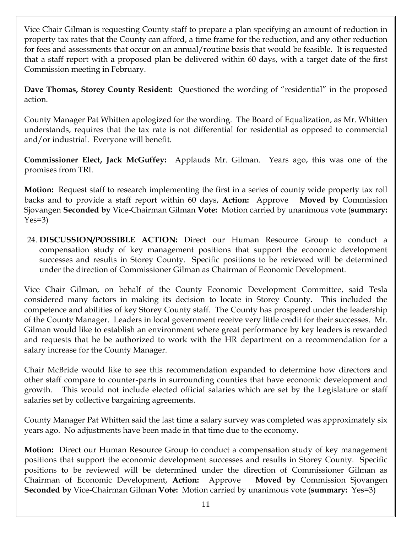Vice Chair Gilman is requesting County staff to prepare a plan specifying an amount of reduction in property tax rates that the County can afford, a time frame for the reduction, and any other reduction for fees and assessments that occur on an annual/routine basis that would be feasible. It is requested that a staff report with a proposed plan be delivered within 60 days, with a target date of the first Commission meeting in February.

**Dave Thomas, Storey County Resident:** Questioned the wording of "residential" in the proposed action.

County Manager Pat Whitten apologized for the wording. The Board of Equalization, as Mr. Whitten understands, requires that the tax rate is not differential for residential as opposed to commercial and/or industrial. Everyone will benefit.

**Commissioner Elect, Jack McGuffey:** Applauds Mr. Gilman. Years ago, this was one of the promises from TRI.

**Motion:** Request staff to research implementing the first in a series of county wide property tax roll backs and to provide a staff report within 60 days, **Action:** Approve **Moved by** Commission Sjovangen **Seconded by** Vice-Chairman Gilman **Vote:** Motion carried by unanimous vote (**summary:**   $Yes=3)$ 

24. **DISCUSSION/POSSIBLE ACTION:** Direct our Human Resource Group to conduct a compensation study of key management positions that support the economic development successes and results in Storey County. Specific positions to be reviewed will be determined under the direction of Commissioner Gilman as Chairman of Economic Development.

Vice Chair Gilman, on behalf of the County Economic Development Committee, said Tesla considered many factors in making its decision to locate in Storey County. This included the competence and abilities of key Storey County staff. The County has prospered under the leadership of the County Manager. Leaders in local government receive very little credit for their successes. Mr. Gilman would like to establish an environment where great performance by key leaders is rewarded and requests that he be authorized to work with the HR department on a recommendation for a salary increase for the County Manager.

Chair McBride would like to see this recommendation expanded to determine how directors and other staff compare to counter-parts in surrounding counties that have economic development and growth. This would not include elected official salaries which are set by the Legislature or staff salaries set by collective bargaining agreements.

County Manager Pat Whitten said the last time a salary survey was completed was approximately six years ago. No adjustments have been made in that time due to the economy.

**Motion:** Direct our Human Resource Group to conduct a compensation study of key management positions that support the economic development successes and results in Storey County. Specific positions to be reviewed will be determined under the direction of Commissioner Gilman as Chairman of Economic Development, **Action:** Approve **Moved by** Commission Sjovangen **Seconded by** Vice-Chairman Gilman **Vote:** Motion carried by unanimous vote (**summary:** Yes=3)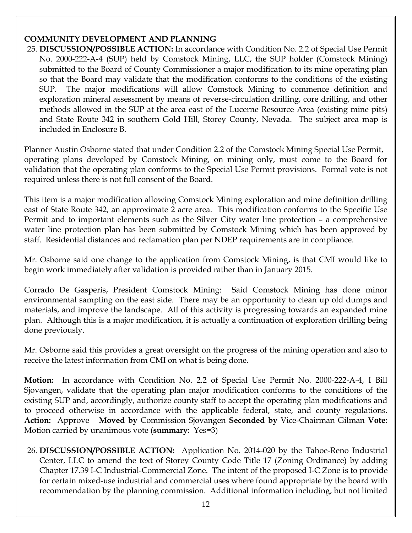### **COMMUNITY DEVELOPMENT AND PLANNING**

25. **DISCUSSION/POSSIBLE ACTION:** In accordance with Condition No. 2.2 of Special Use Permit No. 2000-222-A-4 (SUP) held by Comstock Mining, LLC, the SUP holder (Comstock Mining) submitted to the Board of County Commissioner a major modification to its mine operating plan so that the Board may validate that the modification conforms to the conditions of the existing SUP. The major modifications will allow Comstock Mining to commence definition and exploration mineral assessment by means of reverse-circulation drilling, core drilling, and other methods allowed in the SUP at the area east of the Lucerne Resource Area (existing mine pits) and State Route 342 in southern Gold Hill, Storey County, Nevada. The subject area map is included in Enclosure B.

Planner Austin Osborne stated that under Condition 2.2 of the Comstock Mining Special Use Permit, operating plans developed by Comstock Mining, on mining only, must come to the Board for validation that the operating plan conforms to the Special Use Permit provisions. Formal vote is not required unless there is not full consent of the Board.

This item is a major modification allowing Comstock Mining exploration and mine definition drilling east of State Route 342, an approximate 2 acre area. This modification conforms to the Specific Use Permit and to important elements such as the Silver City water line protection – a comprehensive water line protection plan has been submitted by Comstock Mining which has been approved by staff. Residential distances and reclamation plan per NDEP requirements are in compliance.

Mr. Osborne said one change to the application from Comstock Mining, is that CMI would like to begin work immediately after validation is provided rather than in January 2015.

Corrado De Gasperis, President Comstock Mining: Said Comstock Mining has done minor environmental sampling on the east side. There may be an opportunity to clean up old dumps and materials, and improve the landscape. All of this activity is progressing towards an expanded mine plan. Although this is a major modification, it is actually a continuation of exploration drilling being done previously.

Mr. Osborne said this provides a great oversight on the progress of the mining operation and also to receive the latest information from CMI on what is being done.

**Motion:** In accordance with Condition No. 2.2 of Special Use Permit No. 2000-222-A-4, I Bill Sjovangen, validate that the operating plan major modification conforms to the conditions of the existing SUP and, accordingly, authorize county staff to accept the operating plan modifications and to proceed otherwise in accordance with the applicable federal, state, and county regulations. **Action:** Approve **Moved by** Commission Sjovangen **Seconded by** Vice-Chairman Gilman **Vote:**  Motion carried by unanimous vote (**summary:** Yes=3)

26. **DISCUSSION/POSSIBLE ACTION:** Application No. 2014-020 by the Tahoe-Reno Industrial Center, LLC to amend the text of Storey County Code Title 17 (Zoning Ordinance) by adding Chapter 17.39 I-C Industrial-Commercial Zone. The intent of the proposed I-C Zone is to provide for certain mixed-use industrial and commercial uses where found appropriate by the board with recommendation by the planning commission. Additional information including, but not limited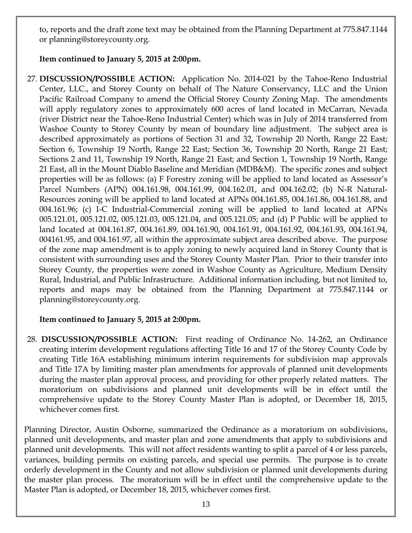to, reports and the draft zone text may be obtained from the Planning Department at 775.847.1144 or planning@storeycounty.org.

### **Item continued to January 5, 2015 at 2:00pm.**

27. **DISCUSSION/POSSIBLE ACTION:** Application No. 2014-021 by the Tahoe-Reno Industrial Center, LLC., and Storey County on behalf of The Nature Conservancy, LLC and the Union Pacific Railroad Company to amend the Official Storey County Zoning Map. The amendments will apply regulatory zones to approximately 600 acres of land located in McCarran, Nevada (river District near the Tahoe-Reno Industrial Center) which was in July of 2014 transferred from Washoe County to Storey County by mean of boundary line adjustment. The subject area is described approximately as portions of Section 31 and 32, Township 20 North, Range 22 East; Section 6, Township 19 North, Range 22 East; Section 36, Township 20 North, Range 21 East; Sections 2 and 11, Township 19 North, Range 21 East; and Section 1, Township 19 North, Range 21 East, all in the Mount Diablo Baseline and Meridian (MDB&M). The specific zones and subject properties will be as follows: (a) F Forestry zoning will be applied to land located as Assessor's Parcel Numbers (APN) 004.161.98, 004.161.99, 004.162.01, and 004.162.02; (b) N-R Natural-Resources zoning will be applied to land located at APNs 004.161.85, 004.161.86, 004.161.88, and 004.161.96; (c) I-C Industrial-Commercial zoning will be applied to land located at APNs 005.121.01, 005.121.02, 005.121.03, 005.121.04, and 005.121.05; and (d) P Public will be applied to land located at 004.161.87, 004.161.89, 004.161.90, 004.161.91, 004.161.92, 004.161.93, 004.161.94, 004161.95, and 004.161.97, all within the approximate subject area described above. The purpose of the zone map amendment is to apply zoning to newly acquired land in Storey County that is consistent with surrounding uses and the Storey County Master Plan. Prior to their transfer into Storey County, the properties were zoned in Washoe County as Agriculture, Medium Density Rural, Industrial, and Public Infrastructure. Additional information including, but not limited to, reports and maps may be obtained from the Planning Department at 775.847.1144 or planning@storeycounty.org.

# **Item continued to January 5, 2015 at 2:00pm.**

28. **DISCUSSION/POSSIBLE ACTION:** First reading of Ordinance No. 14-262, an Ordinance creating interim development regulations affecting Title 16 and 17 of the Storey County Code by creating Title 16A establishing minimum interim requirements for subdivision map approvals and Title 17A by limiting master plan amendments for approvals of planned unit developments during the master plan approval process, and providing for other properly related matters. The moratorium on subdivisions and planned unit developments will be in effect until the comprehensive update to the Storey County Master Plan is adopted, or December 18, 2015, whichever comes first.

Planning Director, Austin Osborne, summarized the Ordinance as a moratorium on subdivisions, planned unit developments, and master plan and zone amendments that apply to subdivisions and planned unit developments. This will not affect residents wanting to split a parcel of 4 or less parcels, variances, building permits on existing parcels, and special use permits. The purpose is to create orderly development in the County and not allow subdivision or planned unit developments during the master plan process. The moratorium will be in effect until the comprehensive update to the Master Plan is adopted, or December 18, 2015, whichever comes first.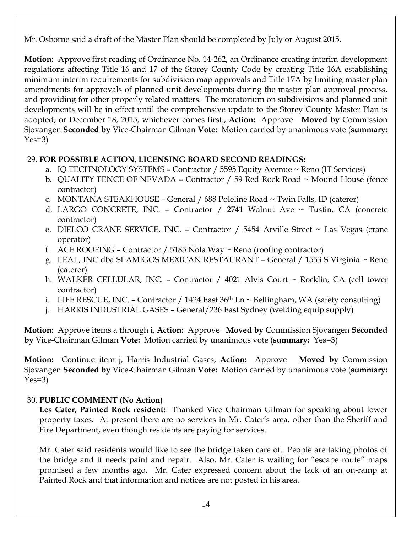Mr. Osborne said a draft of the Master Plan should be completed by July or August 2015.

**Motion:** Approve first reading of Ordinance No. 14-262, an Ordinance creating interim development regulations affecting Title 16 and 17 of the Storey County Code by creating Title 16A establishing minimum interim requirements for subdivision map approvals and Title 17A by limiting master plan amendments for approvals of planned unit developments during the master plan approval process, and providing for other properly related matters. The moratorium on subdivisions and planned unit developments will be in effect until the comprehensive update to the Storey County Master Plan is adopted, or December 18, 2015, whichever comes first., **Action:** Approve **Moved by** Commission Sjovangen **Seconded by** Vice-Chairman Gilman **Vote:** Motion carried by unanimous vote (**summary:**   $Yes=3)$ 

### 29. **FOR POSSIBLE ACTION, LICENSING BOARD SECOND READINGS:**

- a. IQ TECHNOLOGY SYSTEMS Contractor / 5595 Equity Avenue ~ Reno (IT Services)
- b. QUALITY FENCE OF NEVADA Contractor / 59 Red Rock Road ~ Mound House (fence contractor)
- c. MONTANA STEAKHOUSE General / 688 Poleline Road ~ Twin Falls, ID (caterer)
- d. LARGO CONCRETE, INC. Contractor / 2741 Walnut Ave ~ Tustin, CA (concrete contractor)
- e. DIELCO CRANE SERVICE, INC. Contractor / 5454 Arville Street ~ Las Vegas (crane operator)
- f. ACE ROOFING Contractor / 5185 Nola Way  $\sim$  Reno (roofing contractor)
- g. LEAL, INC dba SI AMIGOS MEXICAN RESTAURANT General / 1553 S Virginia ~ Reno (caterer)
- h. WALKER CELLULAR, INC. Contractor / 4021 Alvis Court ~ Rocklin, CA (cell tower contractor)
- i. LIFE RESCUE, INC. Contractor / 1424 East  $36<sup>th</sup>$  Ln ~ Bellingham, WA (safety consulting)
- j. HARRIS INDUSTRIAL GASES General/236 East Sydney (welding equip supply)

**Motion:** Approve items a through i, **Action:** Approve **Moved by** Commission Sjovangen **Seconded by** Vice-Chairman Gilman **Vote:** Motion carried by unanimous vote (**summary:** Yes=3)

**Motion:** Continue item j, Harris Industrial Gases, **Action:** Approve **Moved by** Commission Sjovangen **Seconded by** Vice-Chairman Gilman **Vote:** Motion carried by unanimous vote (**summary:**   $Yes=3)$ 

#### 30. **PUBLIC COMMENT (No Action)**

**Les Cater, Painted Rock resident:** Thanked Vice Chairman Gilman for speaking about lower property taxes. At present there are no services in Mr. Cater's area, other than the Sheriff and Fire Department, even though residents are paying for services.

Mr. Cater said residents would like to see the bridge taken care of. People are taking photos of the bridge and it needs paint and repair. Also, Mr. Cater is waiting for "escape route" maps promised a few months ago. Mr. Cater expressed concern about the lack of an on-ramp at Painted Rock and that information and notices are not posted in his area.